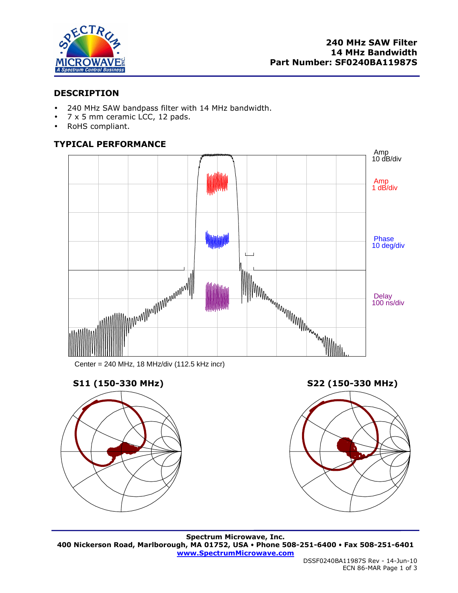

## **DESCRIPTION**

- 240 MHz SAW bandpass filter with 14 MHz bandwidth.
- 7 x 5 mm ceramic LCC, 12 pads.
- RoHS compliant.

# **TYPICAL PERFORMANCE**



Center = 240 MHz, 18 MHz/div (112.5 kHz incr)







**Spectrum Microwave, Inc. 400 Nickerson Road, Marlborough, MA 01752, USA Phone 508-251-6400 Fax 508-251-6401 www.SpectrumMicrowave.com**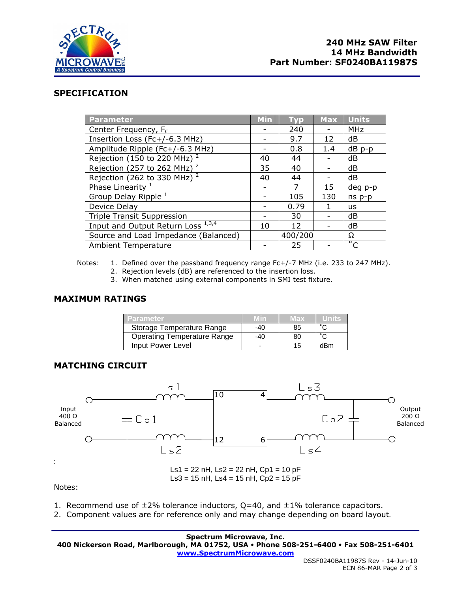

### **SPECIFICATION**

| Parameter                               | <b>Min</b> | <b>Typ</b> | <b>Max</b>               | <b>Units</b>       |
|-----------------------------------------|------------|------------|--------------------------|--------------------|
| Center Frequency, F <sub>c</sub>        |            | 240        |                          | <b>MHz</b>         |
| Insertion Loss (Fc+/-6.3 MHz)           |            | 9.7        | 12                       | dB                 |
| Amplitude Ripple (Fc+/-6.3 MHz)         |            | 0.8        | 1.4                      | $dB$ $p-p$         |
| Rejection (150 to 220 MHz) $^2$         | 40         | 44         |                          | dB                 |
| Rejection (257 to 262 MHz) <sup>2</sup> | 35         | 40         |                          | dB                 |
| Rejection (262 to 330 MHz) $^2$         | 40         | 44         | $\overline{\phantom{0}}$ | dB                 |
| Phase Linearity <sup>1</sup>            |            | 7          | 15                       | deg p-p            |
| Group Delay Ripple <sup>1</sup>         |            | 105        | 130                      | $ns p-p$           |
| Device Delay                            |            | 0.79       | 1                        | us                 |
| <b>Triple Transit Suppression</b>       |            | 30         |                          | dB                 |
| Input and Output Return Loss 1,3,4      | 10         | 12         |                          | dB                 |
| Source and Load Impedance (Balanced)    | 400/200    |            |                          | Ω                  |
| <b>Ambient Temperature</b>              |            | 25         |                          | $\overline{\circ}$ |

Notes: 1. Defined over the passband frequency range Fc+/-7 MHz (i.e. 233 to 247 MHz).

- 2. Rejection levels (dB) are referenced to the insertion loss.
- 3. When matched using external components in SMI test fixture.

### **MAXIMUM RATINGS**

| <b>ZParameter</b>                  |     | Max |     |
|------------------------------------|-----|-----|-----|
| Storage Temperature Range          | -40 | 85  |     |
| <b>Operating Temperature Range</b> | -40 | 80  |     |
| Input Power Level                  | -   | 15  | dBm |

### **MATCHING CIRCUIT**



Notes:

- 1. Recommend use of  $\pm 2\%$  tolerance inductors, Q=40, and  $\pm 1\%$  tolerance capacitors.
- 2. Component values are for reference only and may change depending on board layout.

**Spectrum Microwave, Inc. 400 Nickerson Road, Marlborough, MA 01752, USA Phone 508-251-6400 Fax 508-251-6401 www.SpectrumMicrowave.com**